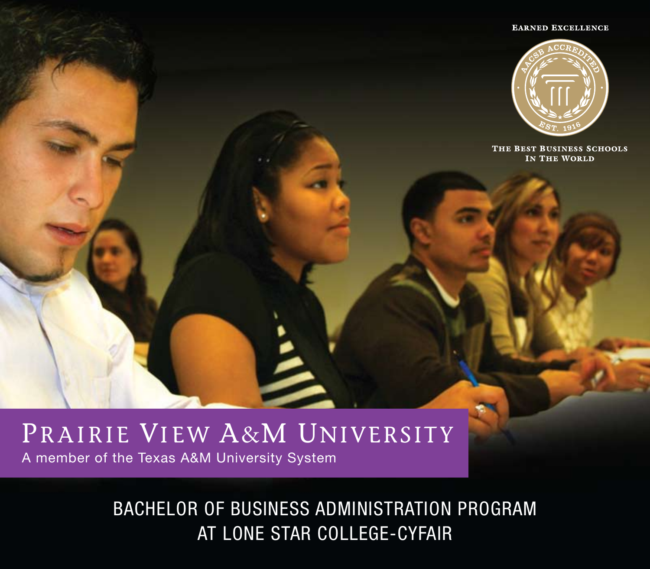#### **EARNED EXCELLENCE**



THE BEST BUSINESS SCHOOLS IN THE WORLD

# PRAIRIE VIEW A&M UNIVERSITY A member of the Texas A&M University System

BACHELOR OF BUSINESS ADMINISTRATION PROGRAM AT LONE STAR COLLEGE-CYFAIR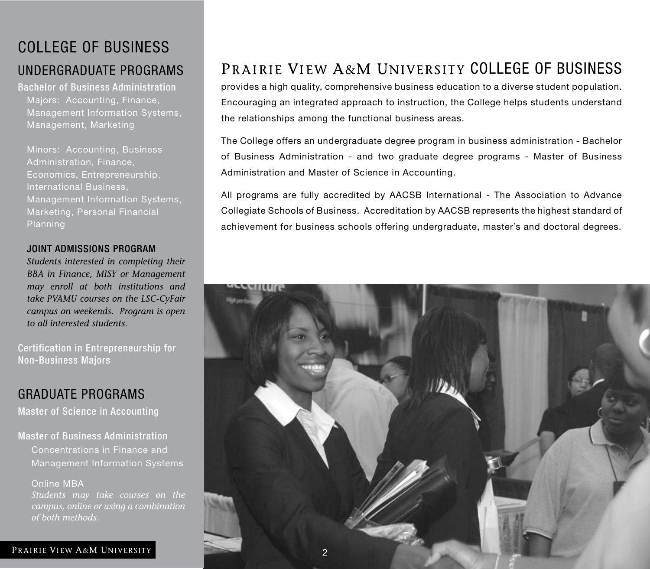## COLLEGE OF BUSINESS

### UNDERGRADUATE PROGRAMS

Bachelor of Business Administration Majors: Accounting, Finance, Management Information Systems, Management, Marketing

Minors: Accounting, Business Administration, Finance, Economics, Entrepreneurship, International Business, Management Information Systems, Marketing, Personal Financial Planning

#### JOINT ADMISSIONS PROGRAM

*Students interested in completing their BBA in Finance, MISY or Management may enroll at both institutions and take PVAMU courses on the LSC-CyFair campus on weekends. Program is open to all interested students.*

Certification in Entrepreneurship for Non-Business Majors

### GRADUATE PROGRAMS

Master of Science in Accounting

Master of Business Administration Concentrations in Finance and Management Information Systems

Online MBA

*of both methods.* 

## PRAIRIE VIEW A&M UNIVERSITY COLLEGE OF BUSINESS

provides a high quality, comprehensive business education to a diverse student population. Encouraging an integrated approach to instruction, the College helps students understand the relationships among the functional business areas.

The College offers an undergraduate degree program in business administration - Bachelor of Business Administration - and two graduate degree programs - Master of Business Administration and Master of Science in Accounting.

All programs are fully accredited by AACSB International - The Association to Advance Collegiate Schools of Business. Accreditation by AACSB represents the highest standard of achievement for business schools offering undergraduate, master's and doctoral degrees.

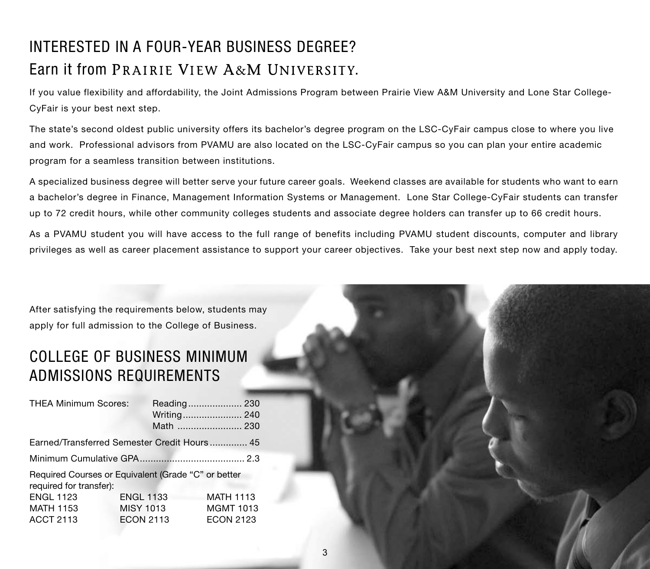## INTERESTED IN A FOUR-YEAR BUSINESS DEGREE? Farn it from PRAIRIE VIEW A&M UNIVERSITY.

If you value flexibility and affordability, the Joint Admissions Program between Prairie View A&M University and Lone Star College-CyFair is your best next step.

The state's second oldest public university offers its bachelor's degree program on the LSC-CyFair campus close to where you live and work. Professional advisors from PVAMU are also located on the LSC-CyFair campus so you can plan your entire academic program for a seamless transition between institutions.

A specialized business degree will better serve your future career goals. Weekend classes are available for students who want to earn a bachelor's degree in Finance, Management Information Systems or Management. Lone Star College-CyFair students can transfer up to 72 credit hours, while other community colleges students and associate degree holders can transfer up to 66 credit hours.

As a PVAMU student you will have access to the full range of benefits including PVAMU student discounts, computer and library privileges as well as career placement assistance to support your career objectives. Take your best next step now and apply today.

After satisfying the requirements below, students may apply for full admission to the College of Business.

### COLLEGE OF BUSINESS MINIMUM ADMISSIONS REQUIREMENTS

| <b>THEA Minimum Scores:</b>                                                    |                  |                  |
|--------------------------------------------------------------------------------|------------------|------------------|
|                                                                                |                  | Writing 240      |
|                                                                                |                  | Math  230        |
| Earned/Transferred Semester Credit Hours 45                                    |                  |                  |
|                                                                                |                  |                  |
| Required Courses or Equivalent (Grade "C" or better<br>required for transfer): |                  |                  |
| <b>ENGL 1123</b>                                                               | <b>ENGL 1133</b> | <b>MATH 1113</b> |
| <b>MATH 1153</b>                                                               | <b>MISY 1013</b> | <b>MGMT 1013</b> |
| <b>ACCT 2113</b>                                                               | <b>ECON 2113</b> | <b>ECON 2123</b> |
|                                                                                |                  |                  |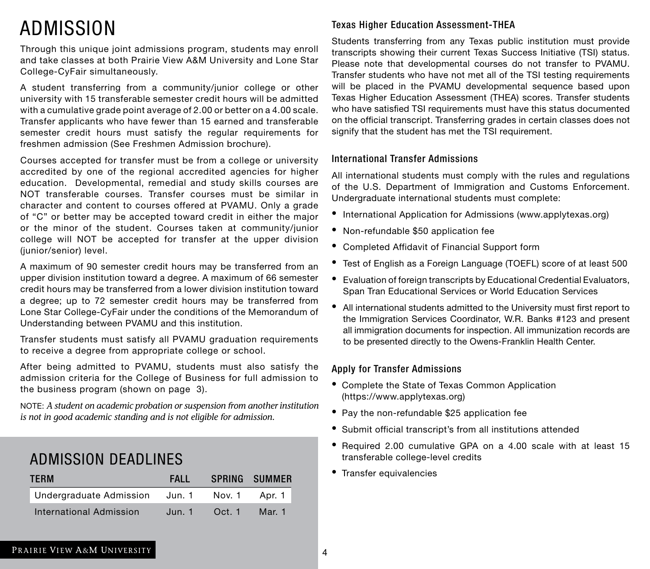# ADMISSION

Through this unique joint admissions program, students may enroll and take classes at both Prairie View A&M University and Lone Star College-CyFair simultaneously.

A student transferring from a community/junior college or other university with 15 transferable semester credit hours will be admitted with a cumulative grade point average of 2.00 or better on a 4.00 scale. Transfer applicants who have fewer than 15 earned and transferable semester credit hours must satisfy the regular requirements for freshmen admission (See Freshmen Admission brochure).

Courses accepted for transfer must be from a college or university accredited by one of the regional accredited agencies for higher education. Developmental, remedial and study skills courses are NOT transferable courses. Transfer courses must be similar in character and content to courses offered at PVAMU. Only a grade of "C" or better may be accepted toward credit in either the major or the minor of the student. Courses taken at community/junior college will NOT be accepted for transfer at the upper division (junior/senior) level.

A maximum of 90 semester credit hours may be transferred from an upper division institution toward a degree. A maximum of 66 semester credit hours may be transferred from a lower division institution toward a degree; up to 72 semester credit hours may be transferred from Lone Star College-CyFair under the conditions of the Memorandum of Understanding between PVAMU and this institution.

Transfer students must satisfy all PVAMU graduation requirements to receive a degree from appropriate college or school.

After being admitted to PVAMU, students must also satisfy the admission criteria for the College of Business for full admission to the business program (shown on page 3).

NOTE: *A student on academic probation or suspension from another institution is not in good academic standing and is not eligible for admission.*

### ADMISSION DEADLINES

| <b>TERM</b>             | <b>FALL</b> |        | SPRING SUMMER |
|-------------------------|-------------|--------|---------------|
| Undergraduate Admission | Jun. 1      | Nov. 1 | Apr. 1        |
| International Admission | Jun. 1      | Oct. 1 | Mar. 1        |

#### Texas Higher Education Assessment-THEA

Students transferring from any Texas public institution must provide transcripts showing their current Texas Success Initiative (TSI) status. Please note that developmental courses do not transfer to PVAMU. Transfer students who have not met all of the TSI testing requirements will be placed in the PVAMU developmental sequence based upon Texas Higher Education Assessment (THEA) scores. Transfer students who have satisfied TSI requirements must have this status documented on the official transcript. Transferring grades in certain classes does not signify that the student has met the TSI requirement.

#### International Transfer Admissions

All international students must comply with the rules and regulations of the U.S. Department of Immigration and Customs Enforcement. Undergraduate international students must complete:

- International Application for Admissions (www.applytexas.org)
- Non-refundable \$50 application fee
- Completed Affidavit of Financial Support form
- Test of English as a Foreign Language (TOEFL) score of at least 500
- Evaluation of foreign transcripts by Educational Credential Evaluators, Span Tran Educational Services or World Education Services
- All international students admitted to the University must first report to the Immigration Services Coordinator, W.R. Banks #123 and present all immigration documents for inspection. All immunization records are to be presented directly to the Owens-Franklin Health Center.

#### Apply for Transfer Admissions

- Complete the State of Texas Common Application (https://www.applytexas.org)
- Pay the non-refundable \$25 application fee
- Submit official transcript's from all institutions attended
- Required 2.00 cumulative GPA on a 4.00 scale with at least 15 transferable college-level credits
- Transfer equivalencies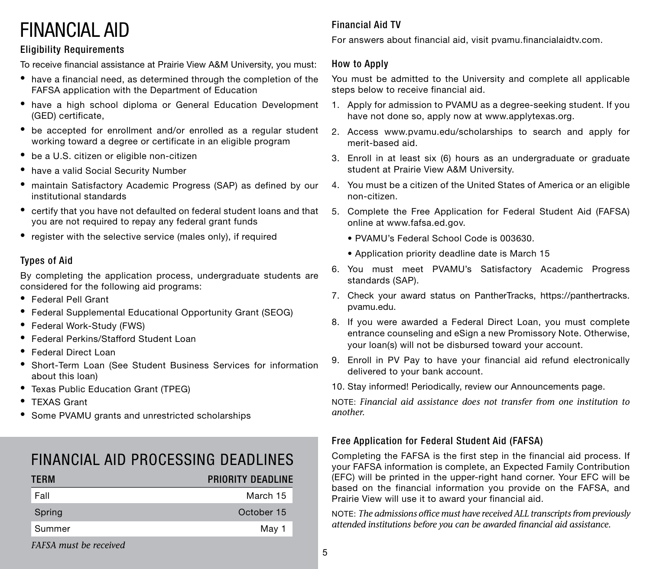# FINANCIAL AID

#### Eligibility Requirements

To receive financial assistance at Prairie View A&M University, you must:

- have a financial need, as determined through the completion of the FAFSA application with the Department of Education
- have a high school diploma or General Education Development (GED) certificate,
- be accepted for enrollment and/or enrolled as a regular student working toward a degree or certificate in an eligible program
- be a U.S. citizen or eligible non-citizen
- have a valid Social Security Number
- maintain Satisfactory Academic Progress (SAP) as defined by our institutional standards
- certify that you have not defaulted on federal student loans and that you are not required to repay any federal grant funds
- register with the selective service (males only), if required

#### Types of Aid

By completing the application process, undergraduate students are considered for the following aid programs:

- Federal Pell Grant
- Federal Supplemental Educational Opportunity Grant (SEOG)
- Federal Work-Study (FWS)
- **Federal Perkins/Stafford Student Loan**
- Federal Direct Loan
- Short-Term Loan (See Student Business Services for information about this loan)
- Texas Public Education Grant (TPEG)
- TFXAS Grant
- Some PVAMU grants and unrestricted scholarships

### FINANCIAL AID PROCESSING DEADLINES

| <b>TERM</b> | <b>PRIORITY DEADLINE</b> |
|-------------|--------------------------|
| Fall        | March 15                 |
| Spring      | October 15               |
| Summer      | May 1                    |
|             |                          |

## Financial Aid TV

For answers about financial aid, visit pvamu.financialaidtv.com.

#### How to Apply

You must be admitted to the University and complete all applicable steps below to receive financial aid.

- 1. Apply for admission to PVAMU as a degree-seeking student. If you have not done so, apply now at www.applytexas.org.
- 2. Access www.pvamu.edu/scholarships to search and apply for merit-based aid.
- 3. Enroll in at least six (6) hours as an undergraduate or graduate student at Prairie View A&M University.
- 4. You must be a citizen of the United States of America or an eligible non-citizen.
- 5. Complete the Free Application for Federal Student Aid (FAFSA) online at www.fafsa.ed.gov.
	- . PVAMU's Federal School Code is 003630.
	- Application priority deadline date is March 15
- 6. You must meet PVAMU's Satisfactory Academic Progress standards (SAP).
- 7. Check your award status on PantherTracks, https://panthertracks. pvamu.edu.
- 8. If you were awarded a Federal Direct Loan, you must complete entrance counseling and eSign a new Promissory Note. Otherwise, your loan(s) will not be disbursed toward your account.
- 9. Enroll in PV Pay to have your financial aid refund electronically delivered to your bank account.

10. Stay informed! Periodically, review our Announcements page.

NOTE: *Financial aid assistance does not transfer from one institution to another.*

#### Free Application for Federal Student Aid (FAFSA)

Completing the FAFSA is the first step in the financial aid process. If your FAFSA information is complete, an Expected Family Contribution (EFC) will be printed in the upper-right hand corner. Your EFC will be based on the financial information you provide on the FAFSA, and Prairie View will use it to award your financial aid.

NOTE: *The admissions office must have received ALL transcripts from previously attended institutions before you can be awarded financial aid assistance.*

*FAFSA must be received*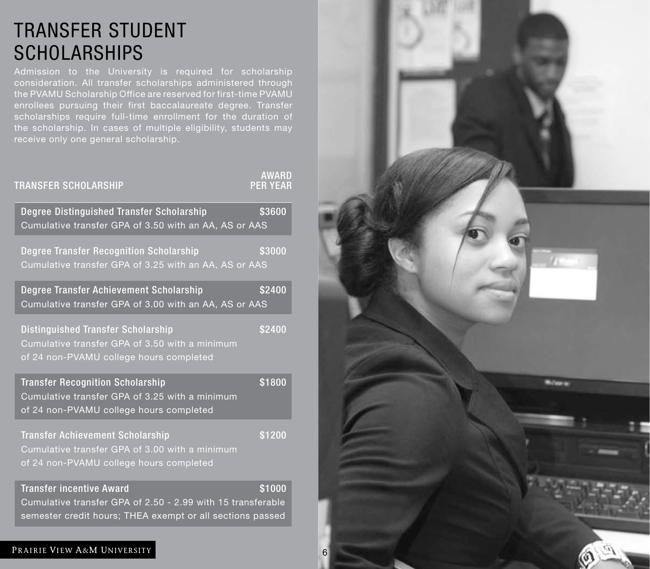# TRANSFER STUDENT **SCHOLARSHIPS**

consideration. All transfer scholarships administered through enrollees pursuing their first baccalaureate degree. Transfer the scholarship. In cases of multiple eligibility, students may receive only one general scholarship.

| <b>TRANSFER SCHOLARSHIP</b>                                                                                                                                 | <b>AWARD</b><br><b>PER YEAR</b> |
|-------------------------------------------------------------------------------------------------------------------------------------------------------------|---------------------------------|
| Degree Distinguished Transfer Scholarship<br>Cumulative transfer GPA of 3.50 with an AA, AS or AAS                                                          | \$3600                          |
| Degree Transfer Recognition Scholarship<br>Cumulative transfer GPA of 3.25 with an AA, AS or AAS                                                            | \$3000                          |
| Degree Transfer Achievement Scholarship<br>Cumulative transfer GPA of 3.00 with an AA, AS or AAS                                                            | \$2400                          |
| Distinguished Transfer Scholarship<br>Cumulative transfer GPA of 3.50 with a minimum<br>of 24 non-PVAMU college hours completed                             | \$2400                          |
| <b>Transfer Recognition Scholarship</b><br>Cumulative transfer GPA of 3.25 with a minimum<br>of 24 non-PVAMU college hours completed                        | \$1800                          |
| <b>Transfer Achievement Scholarship</b><br>Cumulative transfer GPA of 3.00 with a minimum<br>of 24 non-PVAMU college hours completed                        | \$1200                          |
| <b>Transfer incentive Award</b><br>Cumulative transfer GPA of 2.50 - 2.99 with 15 transferable<br>semester credit hours; THEA exempt or all sections passed | \$1000                          |

#### PRAIRIE VIEW A&M UNIVERSITY

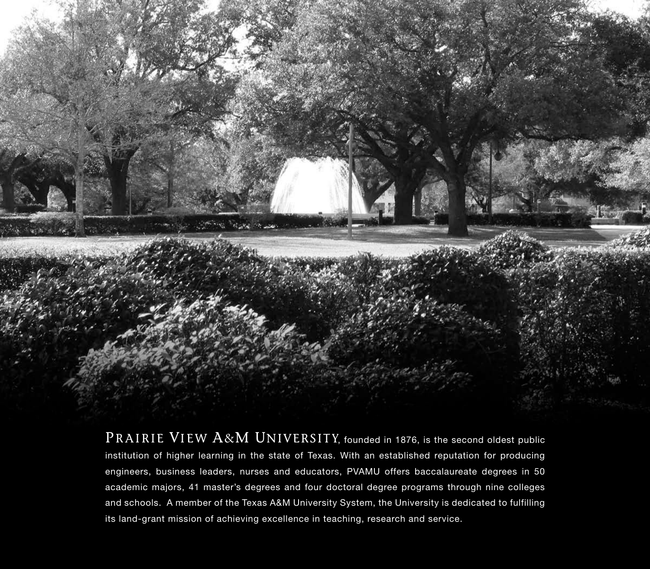

PRAIRIE VIEW  $\rm A\&M$  UNIVERSITY, founded in 1876, is the second oldest public institution of higher learning in the state of Texas. With an established reputation for producing engineers, business leaders, nurses and educators, PVAMU offers baccalaureate degrees in 50 academic majors, 41 master's degrees and four doctoral degree programs through nine colleges and schools. A member of the Texas A&M University System, the University is dedicated to fulfilling its land-grant mission of achieving excellence in teaching, research and service.